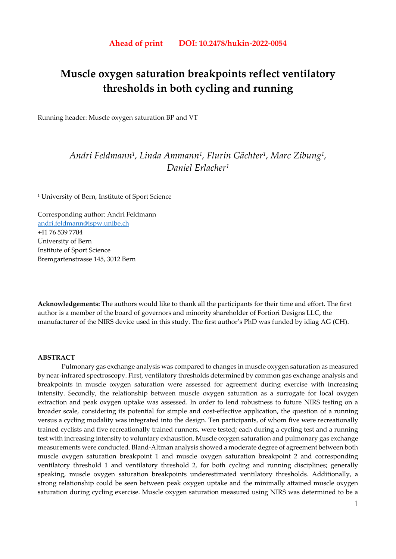# **Muscle oxygen saturation breakpoints reflect ventilatory thresholds in both cycling and running**

Running header: Muscle oxygen saturation BP and VT

# *Andri Feldmann1, Linda Ammann1, Flurin Gächter1, Marc Zibung1, Daniel Erlacher1*

1 University of Bern, Institute of Sport Science

Corresponding author: Andri Feldmann andri.feldmann@ispw.unibe.ch +41 76 539 7704 University of Bern Institute of Sport Science Bremgartenstrasse 145, 3012 Bern

**Acknowledgements:** The authors would like to thank all the participants for their time and effort. The first author is a member of the board of governors and minority shareholder of Fortiori Designs LLC, the manufacturer of the NIRS device used in this study. The first author's PhD was funded by idiag AG (CH).

#### **ABSTRACT**

Pulmonary gas exchange analysis was compared to changes in muscle oxygen saturation as measured by near-infrared spectroscopy. First, ventilatory thresholds determined by common gas exchange analysis and breakpoints in muscle oxygen saturation were assessed for agreement during exercise with increasing intensity. Secondly, the relationship between muscle oxygen saturation as a surrogate for local oxygen extraction and peak oxygen uptake was assessed. In order to lend robustness to future NIRS testing on a broader scale, considering its potential for simple and cost-effective application, the question of a running versus a cycling modality was integrated into the design. Ten participants, of whom five were recreationally trained cyclists and five recreationally trained runners, were tested; each during a cycling test and a running test with increasing intensity to voluntary exhaustion. Muscle oxygen saturation and pulmonary gas exchange measurements were conducted. Bland-Altman analysis showed a moderate degree of agreement between both muscle oxygen saturation breakpoint 1 and muscle oxygen saturation breakpoint 2 and corresponding ventilatory threshold 1 and ventilatory threshold 2, for both cycling and running disciplines; generally speaking, muscle oxygen saturation breakpoints underestimated ventilatory thresholds. Additionally, a strong relationship could be seen between peak oxygen uptake and the minimally attained muscle oxygen saturation during cycling exercise. Muscle oxygen saturation measured using NIRS was determined to be a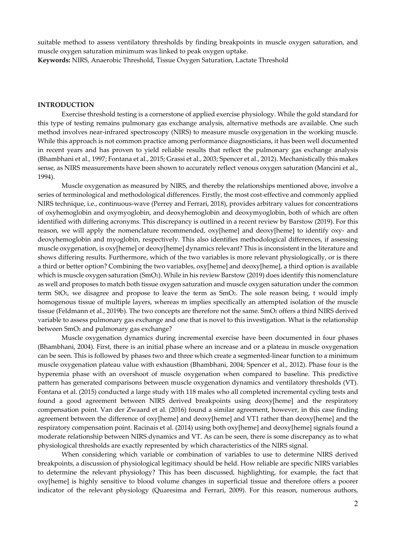suitable method to assess ventilatory thresholds by finding breakpoints in muscle oxygen saturation, and muscle oxygen saturation minimum was linked to peak oxygen uptake. **Keywords:** NIRS, Anaerobic Threshold, Tissue Oxygen Saturation, Lactate Threshold

#### **INTRODUCTION**

Exercise threshold testing is a cornerstone of applied exercise physiology. While the gold standard for this type of testing remains pulmonary gas exchange analysis, alternative methods are available. One such method involves near-infrared spectroscopy (NIRS) to measure muscle oxygenation in the working muscle. While this approach is not common practice among performance diagnosticians, it has been well documented in recent years and has proven to yield reliable results that reflect the pulmonary gas exchange analysis (Bhambhani et al., 1997; Fontana et al., 2015; Grassi et al., 2003; Spencer et al., 2012). Mechanistically this makes sense, as NIRS measurements have been shown to accurately reflect venous oxygen saturation (Mancini et al., 1994).

Muscle oxygenation as measured by NIRS, and thereby the relationships mentioned above, involve a series of terminological and methodological differences. Firstly, the most cost-effective and commonly applied NIRS technique, i.e., continuous-wave (Perrey and Ferrari, 2018), provides arbitrary values for concentrations of oxyhemoglobin and oxymyoglobin, and deoxyhemoglobin and deoxymyoglobin, both of which are often identified with differing acronyms. This discrepancy is outlined in a recent review by Barstow (2019). For this reason, we will apply the nomenclature recommended, oxy[heme] and deoxy[heme] to identify oxy- and deoxyhemoglobin and myoglobin, respectively. This also identifies methodological differences, if assessing muscle oxygenation, is oxy[heme] or deoxy[heme] dynamics relevant? This is inconsistent in the literature and shows differing results. Furthermore, which of the two variables is more relevant physiologically, or is there a third or better option? Combining the two variables, oxy[heme] and deoxy[heme], a third option is available which is muscle oxygen saturation (SmO<sub>2</sub>). While in his review Barstow (2019) does identify this nomenclature as well and proposes to match both tissue oxygen saturation and muscle oxygen saturation under the common term StO2, we disagree and propose to leave the term as SmO2. The sole reason being, t would imply homogenous tissue of multiple layers, whereas m implies specifically an attempted isolation of the muscle tissue (Feldmann et al., 2019b). The two concepts are therefore not the same. SmO2 offers a third NIRS derived variable to assess pulmonary gas exchange and one that is novel to this investigation. What is the relationship between SmO<sub>2</sub> and pulmonary gas exchange?

Muscle oxygenation dynamics during incremental exercise have been documented in four phases (Bhambhani, 2004). First, there is an initial phase where an increase and or a plateau in muscle oxygenation can be seen. This is followed by phases two and three which create a segmented-linear function to a minimum muscle oxygenation plateau value with exhaustion (Bhambhani, 2004; Spencer et al., 2012). Phase four is the hyperemia phase with an overshoot of muscle oxygenation when compared to baseline. This predictive pattern has generated comparisons between muscle oxygenation dynamics and ventilatory thresholds (VT). Fontana et al. (2015) conducted a large study with 118 males who all completed incremental cycling tests and found a good agreement between NIRS derived breakpoints using deoxy[heme] and the respiratory compensation point. Van der Zwaard et al. (2016) found a similar agreement, however, in this case finding agreement between the difference of oxy[heme] and deoxy[heme] and VT1 rather than deoxy[heme] and the respiratory compensation point. Racinais et al. (2014) using both oxy[heme] and deoxy[heme] signals found a moderate relationship between NIRS dynamics and VT. As can be seen, there is some discrepancy as to what physiological thresholds are exactly represented by which characteristics of the NIRS signal.

When considering which variable or combination of variables to use to determine NIRS derived breakpoints, a discussion of physiological legitimacy should be held. How reliable are specific NIRS variables to determine the relevant physiology? This has been discussed, highlighting, for example, the fact that oxy[heme] is highly sensitive to blood volume changes in superficial tissue and therefore offers a poorer indicator of the relevant physiology (Quaresima and Ferrari, 2009). For this reason, numerous authors,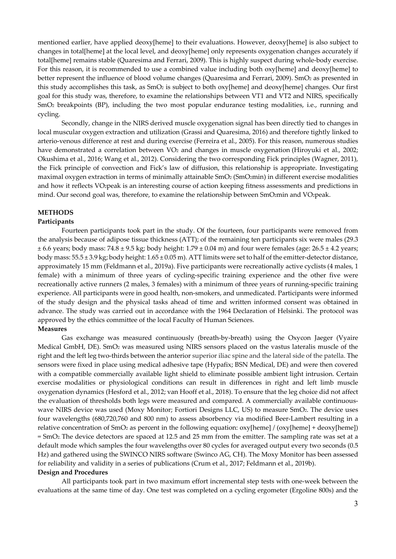mentioned earlier, have applied deoxy[heme] to their evaluations. However, deoxy[heme] is also subject to changes in total[heme] at the local level, and deoxy[heme] only represents oxygenation changes accurately if total[heme] remains stable (Quaresima and Ferrari, 2009). This is highly suspect during whole-body exercise. For this reason, it is recommended to use a combined value including both oxy[heme] and deoxy[heme] to better represent the influence of blood volume changes (Quaresima and Ferrari, 2009). SmO<sub>2</sub> as presented in this study accomplishes this task, as SmO2 is subject to both oxy[heme] and deoxy[heme] changes. Our first goal for this study was, therefore, to examine the relationships between VT1 and VT2 and NIRS, specifically SmO2 breakpoints (BP), including the two most popular endurance testing modalities, i.e., running and cycling.

Secondly, change in the NIRS derived muscle oxygenation signal has been directly tied to changes in local muscular oxygen extraction and utilization (Grassi and Quaresima, 2016) and therefore tightly linked to arterio-venous difference at rest and during exercise (Ferreira et al., 2005). For this reason, numerous studies have demonstrated a correlation between VO<sub>2</sub> and changes in muscle oxygenation (Hiroyuki et al., 2002; Okushima et al., 2016; Wang et al., 2012). Considering the two corresponding Fick principles (Wagner, 2011), the Fick principle of convection and Fick's law of diffusion, this relationship is appropriate. Investigating maximal oxygen extraction in terms of minimally attainable SmO<sub>2</sub> (SmO<sub>2</sub>min) in different exercise modalities and how it reflects VO2peak is an interesting course of action keeping fitness assessments and predictions in mind. Our second goal was, therefore, to examine the relationship between SmO2min and VO2peak.

## **METHODS**

#### **Participants**

Fourteen participants took part in the study. Of the fourteen, four participants were removed from the analysis because of adipose tissue thickness (ATT); of the remaining ten participants six were males (29.3  $\pm$  6.6 years; body mass: 74.8  $\pm$  9.5 kg; body height: 1.79  $\pm$  0.04 m) and four were females (age: 26.5  $\pm$  4.2 years; body mass: 55.5 ± 3.9 kg; body height: 1.65 ± 0.05 m). ATT limits were set to half of the emitter-detector distance, approximately 15 mm (Feldmann et al., 2019a). Five participants were recreationally active cyclists (4 males, 1 female) with a minimum of three years of cycling-specific training experience and the other five were recreationally active runners (2 males, 3 females) with a minimum of three years of running-specific training experience. All participants were in good health, non-smokers, and unmedicated. Participants were informed of the study design and the physical tasks ahead of time and written informed consent was obtained in advance. The study was carried out in accordance with the 1964 Declaration of Helsinki. The protocol was approved by the ethics committee of the local Faculty of Human Sciences.

#### **Measures**

Gas exchange was measured continuously (breath-by-breath) using the Oxycon Jaeger (Vyaire Medical GmbH, DE). SmO2 was measured using NIRS sensors placed on the vastus lateralis muscle of the right and the left leg two-thirds between the anterior superior iliac spine and the lateral side of the patella. The sensors were fixed in place using medical adhesive tape (Hypafix; BSN Medical, DE) and were then covered with a compatible commercially available light shield to eliminate possible ambient light intrusion. Certain exercise modalities or physiological conditions can result in differences in right and left limb muscle oxygenation dynamics (Hesford et al., 2012; van Hooff et al., 2018). To ensure that the leg choice did not affect the evaluation of thresholds both legs were measured and compared. A commercially available continuouswave NIRS device was used (Moxy Monitor; Fortiori Designs LLC, US) to measure SmO2. The device uses four wavelengths (680,720,760 and 800 nm) to assess absorbency via modified Beer-Lambert resulting in a relative concentration of SmO2 as percent in the following equation: oxy[heme] / (oxy[heme] + deoxy[heme])  $=$  SmO<sub>2</sub>. The device detectors are spaced at 12.5 and 25 mm from the emitter. The sampling rate was set at a default mode which samples the four wavelengths over 80 cycles for averaged output every two seconds (0.5 Hz) and gathered using the SWINCO NIRS software (Swinco AG, CH). The Moxy Monitor has been assessed for reliability and validity in a series of publications (Crum et al., 2017; Feldmann et al., 2019b).

## **Design and Procedures**

All participants took part in two maximum effort incremental step tests with one-week between the evaluations at the same time of day. One test was completed on a cycling ergometer (Ergoline 800s) and the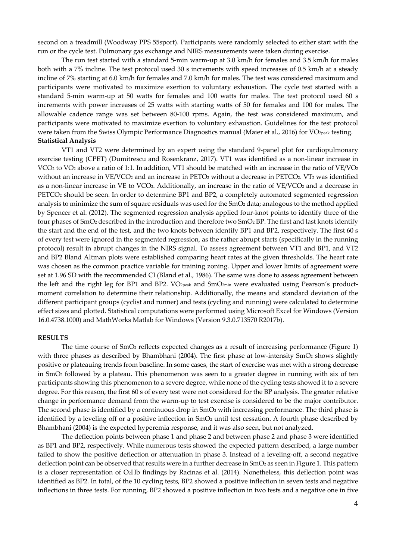second on a treadmill (Woodway PPS 55sport). Participants were randomly selected to either start with the run or the cycle test. Pulmonary gas exchange and NIRS measurements were taken during exercise.

The run test started with a standard 5-min warm-up at 3.0 km/h for females and 3.5 km/h for males both with a 7% incline. The test protocol used 30 s increments with speed increases of 0.5 km/h at a steady incline of 7% starting at 6.0 km/h for females and 7.0 km/h for males. The test was considered maximum and participants were motivated to maximize exertion to voluntary exhaustion. The cycle test started with a standard 5-min warm-up at 50 watts for females and 100 watts for males. The test protocol used 60 s increments with power increases of 25 watts with starting watts of 50 for females and 100 for males. The allowable cadence range was set between 80-100 rpms. Again, the test was considered maximum, and participants were motivated to maximize exertion to voluntary exhaustion. Guidelines for the test protocol were taken from the Swiss Olympic Performance Diagnostics manual (Maier et al., 2016) for VO<sub>2peak</sub> testing. **Statistical Analysis** 

VT1 and VT2 were determined by an expert using the standard 9-panel plot for cardiopulmonary exercise testing (CPET) (Dumitrescu and Rosenkranz, 2017). VT1 was identified as a non-linear increase in VCO<sub>2</sub> to VO<sub>2</sub> above a ratio of 1:1. In addition, VT1 should be matched with an increase in the ratio of VE/VO<sub>2</sub> without an increase in VE/VCO<sub>2</sub> and an increase in PETO<sub>2</sub> without a decrease in PETCO<sub>2</sub>. VT<sub>2</sub> was identified as a non-linear increase in VE to VCO2. Additionally, an increase in the ratio of VE/VCO2 and a decrease in PETCO2 should be seen. In order to determine BP1 and BP2, a completely automated segmented regression analysis to minimize the sum of square residuals was used for the SmO<sub>2</sub> data; analogous to the method applied by Spencer et al. (2012). The segmented regression analysis applied four-knot points to identify three of the four phases of SmO2 described in the introduction and therefore two SmO2 BP. The first and last knots identify the start and the end of the test, and the two knots between identify BP1 and BP2, respectively. The first 60 s of every test were ignored in the segmented regression, as the rather abrupt starts (specifically in the running protocol) result in abrupt changes in the NIRS signal. To assess agreement between VT1 and BP1, and VT2 and BP2 Bland Altman plots were established comparing heart rates at the given thresholds. The heart rate was chosen as the common practice variable for training zoning. Upper and lower limits of agreement were set at 1.96 SD with the recommended CI (Bland et al., 1986). The same was done to assess agreement between the left and the right leg for BP1 and BP2. VO<sub>2peak</sub> and SmO<sub>2min</sub> were evaluated using Pearson's productmoment correlation to determine their relationship. Additionally, the means and standard deviation of the different participant groups (cyclist and runner) and tests (cycling and running) were calculated to determine effect sizes and plotted. Statistical computations were performed using Microsoft Excel for Windows (Version 16.0.4738.1000) and MathWorks Matlab for Windows (Version 9.3.0.713570 R2017b).

#### **RESULTS**

The time course of SmO2 reflects expected changes as a result of increasing performance (Figure 1) with three phases as described by Bhambhani (2004). The first phase at low-intensity SmO<sub>2</sub> shows slightly positive or plateauing trends from baseline. In some cases, the start of exercise was met with a strong decrease in SmO2 followed by a plateau. This phenomenon was seen to a greater degree in running with six of ten participants showing this phenomenon to a severe degree, while none of the cycling tests showed it to a severe degree. For this reason, the first 60 s of every test were not considered for the BP analysis. The greater relative change in performance demand from the warm-up to test exercise is considered to be the major contributor. The second phase is identified by a continuous drop in SmO<sub>2</sub> with increasing performance. The third phase is identified by a leveling off or a positive inflection in  $SmO<sub>2</sub>$  until test cessation. A fourth phase described by Bhambhani (2004) is the expected hyperemia response, and it was also seen, but not analyzed.

The deflection points between phase 1 and phase 2 and between phase 2 and phase 3 were identified as BP1 and BP2, respectively. While numerous tests showed the expected pattern described, a large number failed to show the positive deflection or attenuation in phase 3. Instead of a leveling-off, a second negative deflection point can be observed that results were in a further decrease in SmO<sub>2</sub> as seen in Figure 1. This pattern is a closer representation of O2Hb findings by Racinas et al. (2014). Nonetheless, this deflection point was identified as BP2. In total, of the 10 cycling tests, BP2 showed a positive inflection in seven tests and negative inflections in three tests. For running, BP2 showed a positive inflection in two tests and a negative one in five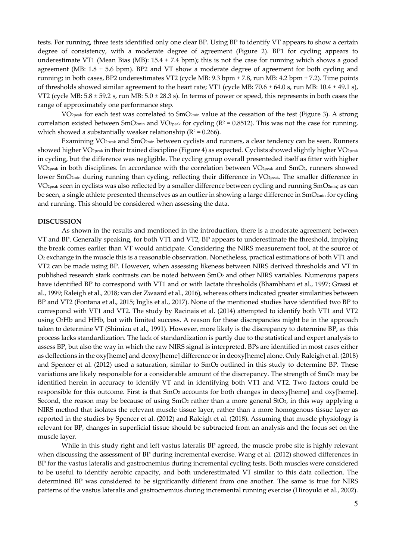tests. For running, three tests identified only one clear BP. Using BP to identify VT appears to show a certain degree of consistency, with a moderate degree of agreement (Figure 2). BP1 for cycling appears to underestimate VT1 (Mean Bias (MB): 15.4 ± 7.4 bpm); this is not the case for running which shows a good agreement (MB:  $1.8 \pm 5.6$  bpm). BP2 and VT show a moderate degree of agreement for both cycling and running; in both cases, BP2 underestimates VT2 (cycle MB: 9.3 bpm ± 7.8, run MB: 4.2 bpm ± 7.2). Time points of thresholds showed similar agreement to the heart rate; VT1 (cycle MB:  $70.6 \pm 64.0$  s, run MB:  $10.4 \pm 49.1$  s), VT2 (cycle MB:  $5.8 \pm 59.2$  s, run MB:  $5.0 \pm 28.3$  s). In terms of power or speed, this represents in both cases the range of approximately one performance step.

VO2peak for each test was correlated to SmO2min value at the cessation of the test (Figure 3). A strong correlation existed between SmO<sub>2min</sub> and VO<sub>2peak</sub> for cycling ( $R^2$  = 0.8512). This was not the case for running, which showed a substantially weaker relationship ( $R^2 = 0.266$ ).

Examining VO<sub>2peak</sub> and SmO<sub>2min</sub> between cyclists and runners, a clear tendency can be seen. Runners showed higher VO<sub>2peak</sub> in their trained discipline (Figure 4) as expected. Cyclists showed slightly higher VO<sub>2peak</sub> in cycling, but the difference was negligible. The cycling group overall presenteded itself as fitter with higher VO2peak in both disciplines. In accordance with the correlation between VO2peak and SmO2, runners showed lower SmO<sub>2min</sub> during running than cycling, reflecting their difference in VO<sub>2peak</sub>. The smaller difference in VO2peak seen in cyclists was also reflected by a smaller difference between cycling and running SmO2min; as can be seen, a single athlete presented themselves as an outlier in showing a large difference in SmO<sub>2min</sub> for cycling and running. This should be considered when assessing the data.

#### **DISCUSSION**

As shown in the results and mentioned in the introduction, there is a moderate agreement between VT and BP. Generally speaking, for both VT1 and VT2, BP appears to underestimate the threshold, implying the break comes earlier than VT would anticipate. Considering the NIRS measurement tool, at the source of O2 exchange in the muscle this is a reasonable observation. Nonetheless, practical estimations of both VT1 and VT2 can be made using BP. However, when assessing likeness between NIRS derived thresholds and VT in published research stark contrasts can be noted between SmO2 and other NIRS variables. Numerous papers have identified BP to correspond with VT1 and or with lactate thresholds (Bhambhani et al., 1997; Grassi et al., 1999; Raleigh et al., 2018; van der Zwaard et al., 2016), whereas others indicated greater similarities between BP and VT2 (Fontana et al., 2015; Inglis et al., 2017). None of the mentioned studies have identified two BP to correspond with VT1 and VT2. The study by Racinais et al. (2014) attempted to identify both VT1 and VT2 using O2Hb and HHb, but with limited success. A reason for these discrepancies might be in the approach taken to determine VT (Shimizu et al., 1991). However, more likely is the discrepancy to determine BP, as this process lacks standardization. The lack of standardization is partly due to the statistical and expert analysis to assess BP, but also the way in which the raw NIRS signal is interpreted. BPs are identified in most cases either as deflections in the oxy[heme] and deoxy[heme] difference or in deoxy[heme] alone. Only Raleigh et al. (2018) and Spencer et al. (2012) used a saturation, similar to SmO2 outlined in this study to determine BP. These variations are likely responsible for a considerable amount of the discrepancy. The strength of SmO<sub>2</sub> may be identified herein in accuracy to identify VT and in identifying both VT1 and VT2. Two factors could be responsible for this outcome. First is that SmO2 accounts for both changes in deoxy[heme] and oxy[heme]. Second, the reason may be because of using  $SmO<sub>2</sub>$  rather than a more general StO<sub>2</sub>, in this way applying a NIRS method that isolates the relevant muscle tissue layer, rather than a more homogenous tissue layer as reported in the studies by Spencer et al. (2012) and Raleigh et al. (2018). Assuming that muscle physiology is relevant for BP, changes in superficial tissue should be subtracted from an analysis and the focus set on the muscle layer.

While in this study right and left vastus lateralis BP agreed, the muscle probe site is highly relevant when discussing the assessment of BP during incremental exercise. Wang et al. (2012) showed differences in BP for the vastus lateralis and gastrocnemius during incremental cycling tests. Both muscles were considered to be useful to identify aerobic capacity, and both underestimated VT similar to this data collection. The determined BP was considered to be significantly different from one another. The same is true for NIRS patterns of the vastus lateralis and gastrocnemius during incremental running exercise (Hiroyuki et al., 2002).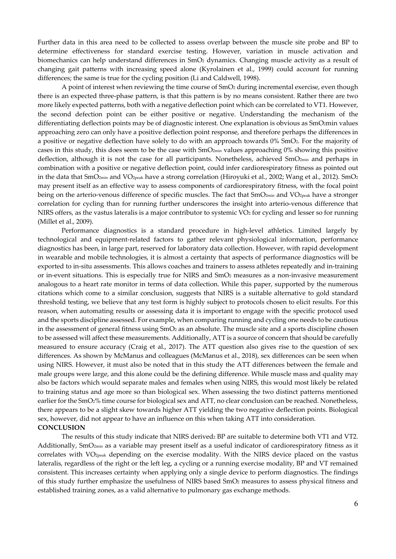Further data in this area need to be collected to assess overlap between the muscle site probe and BP to determine effectiveness for standard exercise testing. However, variation in muscle activation and biomechanics can help understand differences in SmO2 dynamics. Changing muscle activity as a result of changing gait patterns with increasing speed alone (Kyrolainen et al., 1999) could account for running differences; the same is true for the cycling position (Li and Caldwell, 1998).

A point of interest when reviewing the time course of SmO2 during incremental exercise, even though there is an expected three-phase pattern, is that this pattern is by no means consistent. Rather there are two more likely expected patterns, both with a negative deflection point which can be correlated to VT1. However, the second defection point can be either positive or negative. Understanding the mechanism of the differentiating deflection points may be of diagnostic interest. One explanation is obvious as SmO2min values approaching zero can only have a positive deflection point response, and therefore perhaps the differences in a positive or negative deflection have solely to do with an approach towards 0% SmO2. For the majority of cases in this study, this does seem to be the case with SmO2min values approaching 0% showing this positive deflection, although it is not the case for all participants. Nonetheless, achieved  $\text{SmO}_{2\text{min}}$  and perhaps in combination with a positive or negative deflection point, could infer cardiorespiratory fitness as pointed out in the data that SmO<sub>2min</sub> and VO<sub>2peak</sub> have a strong correlation (Hiroyuki et al., 2002; Wang et al., 2012). SmO<sub>2</sub> may present itself as an effective way to assess components of cardiorespiratory fitness, with the focal point being on the arterio-venous difference of specific muscles. The fact that SmO<sub>2min</sub> and VO<sub>2peak</sub> have a stronger correlation for cycling than for running further underscores the insight into arterio-venous difference that NIRS offers, as the vastus lateralis is a major contributor to systemic  $VO<sub>2</sub>$  for cycling and lesser so for running (Millet et al., 2009).

Performance diagnostics is a standard procedure in high-level athletics. Limited largely by technological and equipment-related factors to gather relevant physiological information, performance diagnostics has been, in large part, reserved for laboratory data collection. However, with rapid development in wearable and mobile technologies, it is almost a certainty that aspects of performance diagnostics will be exported to in-situ assessments. This allows coaches and trainers to assess athletes repeatedly and in-training or in-event situations. This is especially true for NIRS and SmO2 measures as a non-invasive measurement analogous to a heart rate monitor in terms of data collection. While this paper, supported by the numerous citations which come to a similar conclusion, suggests that NIRS is a suitable alternative to gold standard threshold testing, we believe that any test form is highly subject to protocols chosen to elicit results. For this reason, when automating results or assessing data it is important to engage with the specific protocol used and the sports discipline assessed. For example, when comparing running and cycling one needs to be cautious in the assessment of general fitness using SmO2 as an absolute. The muscle site and a sports discipline chosen to be assessed will affect these measurements. Additionally, ATT is a source of concern that should be carefully measured to ensure accuracy (Craig et al., 2017). The ATT question also gives rise to the question of sex differences. As shown by McManus and colleagues (McManus et al., 2018), sex differences can be seen when using NIRS. However, it must also be noted that in this study the ATT differences between the female and male groups were large, and this alone could be the defining difference. While muscle mass and quality may also be factors which would separate males and females when using NIRS, this would most likely be related to training status and age more so than biological sex. When assessing the two distinct patterns mentioned earlier for the SmO2% time course for biological sex and ATT, no clear conclusion can be reached. Nonetheless, there appears to be a slight skew towards higher ATT yielding the two negative deflection points. Biological sex, however, did not appear to have an influence on this when taking ATT into consideration. **CONCLUSION** 

The results of this study indicate that NIRS derived2 BP are suitable to determine both VT1 and VT2. Additionally, SmO<sub>2min</sub> as a variable may present itself as a useful indicator of cardiorespiratory fitness as it correlates with VO2peak depending on the exercise modality. With the NIRS device placed on the vastus lateralis, regardless of the right or the left leg, a cycling or a running exercise modality, BP and VT remained consistent. This increases certainty when applying only a single device to perform diagnostics. The findings of this study further emphasize the usefulness of NIRS based SmO2 measures to assess physical fitness and established training zones, as a valid alternative to pulmonary gas exchange methods.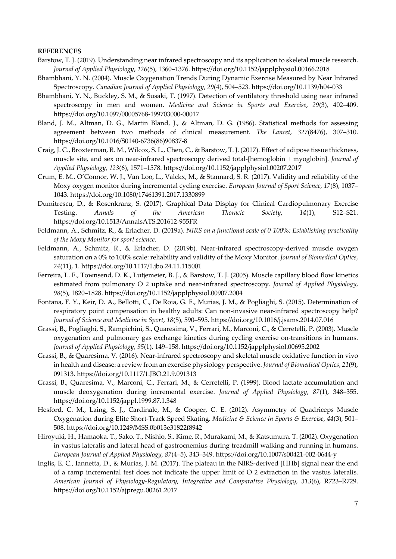# **REFERENCES**

- Barstow, T. J. (2019). Understanding near infrared spectroscopy and its application to skeletal muscle research. *Journal of Applied Physiology*, *126*(5), 1360–1376. https://doi.org/10.1152/japplphysiol.00166.2018
- Bhambhani, Y. N. (2004). Muscle Oxygenation Trends During Dynamic Exercise Measured by Near Infrared Spectroscopy. *Canadian Journal of Applied Physiology*, *29*(4), 504–523. https://doi.org/10.1139/h04-033
- Bhambhani, Y. N., Buckley, S. M., & Susaki, T. (1997). Detection of ventilatory threshold using near infrared spectroscopy in men and women. *Medicine and Science in Sports and Exercise*, *29*(3), 402–409. https://doi.org/10.1097/00005768-199703000-00017
- Bland, J. M., Altman, D. G., Martin Bland, J., & Altman, D. G. (1986). Statistical methods for assessing agreement between two methods of clinical measurement. *The Lancet*, *327*(8476), 307–310. https://doi.org/10.1016/S0140-6736(86)90837-8
- Craig, J. C., Broxterman, R. M., Wilcox, S. L., Chen, C., & Barstow, T. J. (2017). Effect of adipose tissue thickness, muscle site, and sex on near-infrared spectroscopy derived total-[hemoglobin + myoglobin]. *Journal of Applied Physiology*, *123*(6), 1571–1578. https://doi.org/10.1152/japplphysiol.00207.2017
- Crum, E. M., O'Connor, W. J., Van Loo, L., Valckx, M., & Stannard, S. R. (2017). Validity and reliability of the Moxy oxygen monitor during incremental cycling exercise. *European Journal of Sport Science*, *17*(8), 1037– 1043. https://doi.org/10.1080/17461391.2017.1330899
- Dumitrescu, D., & Rosenkranz, S. (2017). Graphical Data Display for Clinical Cardiopulmonary Exercise Testing. *Annals of the American Thoracic Society*, *14*(1), S12–S21. https://doi.org/10.1513/AnnalsATS.201612-955FR
- Feldmann, A., Schmitz, R., & Erlacher, D. (2019a). *NIRS on a functional scale of 0-100%: Establishing practicality of the Moxy Monitor for sport science*.
- Feldmann, A., Schmitz, R., & Erlacher, D. (2019b). Near-infrared spectroscopy-derived muscle oxygen saturation on a 0% to 100% scale: reliability and validity of the Moxy Monitor. *Journal of Biomedical Optics*, *24*(11), 1. https://doi.org/10.1117/1.jbo.24.11.115001
- Ferreira, L. F., Townsend, D. K., Lutjemeier, B. J., & Barstow, T. J. (2005). Muscle capillary blood flow kinetics estimated from pulmonary O 2 uptake and near-infrared spectroscopy. *Journal of Applied Physiology*, *98*(5), 1820–1828. https://doi.org/10.1152/japplphysiol.00907.2004
- Fontana, F. Y., Keir, D. A., Bellotti, C., De Roia, G. F., Murias, J. M., & Pogliaghi, S. (2015). Determination of respiratory point compensation in healthy adults: Can non-invasive near-infrared spectroscopy help? *Journal of Science and Medicine in Sport*, *18*(5), 590–595. https://doi.org/10.1016/j.jsams.2014.07.016
- Grassi, B., Pogliaghi, S., Rampichini, S., Quaresima, V., Ferrari, M., Marconi, C., & Cerretelli, P. (2003). Muscle oxygenation and pulmonary gas exchange kinetics during cycling exercise on-transitions in humans. *Journal of Applied Physiology*, *95*(1), 149–158. https://doi.org/10.1152/japplphysiol.00695.2002
- Grassi, B., & Quaresima, V. (2016). Near-infrared spectroscopy and skeletal muscle oxidative function in vivo in health and disease: a review from an exercise physiology perspective. *Journal of Biomedical Optics*, *21*(9), 091313. https://doi.org/10.1117/1.JBO.21.9.091313
- Grassi, B., Quaresima, V., Marconi, C., Ferrari, M., & Cerretelli, P. (1999). Blood lactate accumulation and muscle deoxygenation during incremental exercise. *Journal of Applied Physiology*, *87*(1), 348–355. https://doi.org/10.1152/jappl.1999.87.1.348
- Hesford, C. M., Laing, S. J., Cardinale, M., & Cooper, C. E. (2012). Asymmetry of Quadriceps Muscle Oxygenation during Elite Short-Track Speed Skating. *Medicine & Science in Sports & Exercise*, *44*(3), 501– 508. https://doi.org/10.1249/MSS.0b013e31822f8942
- Hiroyuki, H., Hamaoka, T., Sako, T., Nishio, S., Kime, R., Murakami, M., & Katsumura, T. (2002). Oxygenation in vastus lateralis and lateral head of gastrocnemius during treadmill walking and running in humans. *European Journal of Applied Physiology*, *87*(4–5), 343–349. https://doi.org/10.1007/s00421-002-0644-y
- Inglis, E. C., Iannetta, D., & Murias, J. M. (2017). The plateau in the NIRS-derived [HHb] signal near the end of a ramp incremental test does not indicate the upper limit of O 2 extraction in the vastus lateralis. *American Journal of Physiology-Regulatory, Integrative and Comparative Physiology*, *313*(6), R723–R729. https://doi.org/10.1152/ajpregu.00261.2017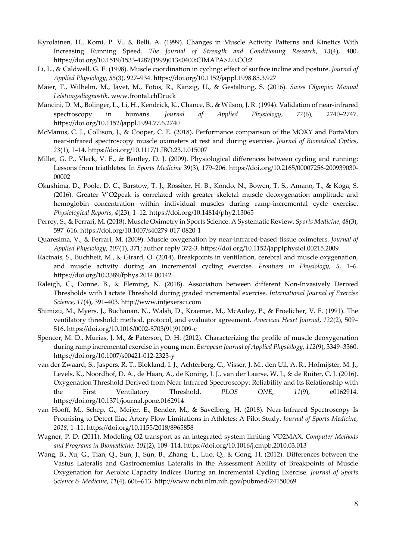- Kyrolainen, H., Komi, P. V., & Belli, A. (1999). Changes in Muscle Activity Patterns and Kinetics With Increasing Running Speed. *The Journal of Strength and Conditioning Research*, *13*(4), 400. https://doi.org/10.1519/1533-4287(1999)013<0400:CIMAPA>2.0.CO;2
- Li, L., & Caldwell, G. E. (1998). Muscle coordination in cycling: effect of surface incline and posture. *Journal of Applied Physiology*, *85*(3), 927–934. https://doi.org/10.1152/jappl.1998.85.3.927
- Maier, T., Wilhelm, M., Javet, M., Fotos, R., Känzig, U., & Gestaltung, S. (2016). *Swiss Olympic: Manual Leistungsdiagnostik*. www.frontal.chDruck
- Mancini, D. M., Bolinger, L., Li, H., Kendrick, K., Chance, B., & Wilson, J. R. (1994). Validation of near-infrared spectroscopy in humans. *Journal of Applied Physiology*, *77*(6), 2740–2747. https://doi.org/10.1152/jappl.1994.77.6.2740
- McManus, C. J., Collison, J., & Cooper, C. E. (2018). Performance comparison of the MOXY and PortaMon near-infrared spectroscopy muscle oximeters at rest and during exercise. *Journal of Biomedical Optics*, *23*(1), 1–14. https://doi.org/10.1117/1.JBO.23.1.015007
- Millet, G. P., Vleck, V. E., & Bentley, D. J. (2009). Physiological differences between cycling and running: Lessons from triathletes. In *Sports Medicine* 39(3), 179–206. https://doi.org/10.2165/00007256-200939030- 00002
- Okushima, D., Poole, D. C., Barstow, T. J., Rossiter, H. B., Kondo, N., Bowen, T. S., Amano, T., & Koga, S. (2016). Greater V˙O2peak is correlated with greater skeletal muscle deoxygenation amplitude and hemoglobin concentration within individual muscles during ramp-incremental cycle exercise. *Physiological Reports*, *4*(23), 1–12. https://doi.org/10.14814/phy2.13065
- Perrey, S., & Ferrari, M. (2018). Muscle Oximetry in Sports Science: A Systematic Review. *Sports Medicine*, *48*(3), 597–616. https://doi.org/10.1007/s40279-017-0820-1
- Quaresima, V., & Ferrari, M. (2009). Muscle oxygenation by near-infrared-based tissue oximeters. *Journal of Applied Physiology*, *107*(1), 371; author reply 372-3. https://doi.org/10.1152/japplphysiol.00215.2009
- Racinais, S., Buchheit, M., & Girard, O. (2014). Breakpoints in ventilation, cerebral and muscle oxygenation, and muscle activity during an incremental cycling exercise. *Frontiers in Physiology*, *5*, 1–6. https://doi.org/10.3389/fphys.2014.00142
- Raleigh, C., Donne, B., & Fleming, N. (2018). Association between different Non-Invasively Derived Thresholds with Lactate Threshold during graded incremental exercise. *International Journal of Exercise Science*, *11*(4), 391–403. http://www.intjexersci.com
- Shimizu, M., Myers, J., Buchanan, N., Walsh, D., Kraemer, M., McAuley, P., & Froelicher, V. F. (1991). The ventilatory threshold: method, protocol, and evaluator agreement. *American Heart Journal*, *122*(2), 509– 516. https://doi.org/10.1016/0002-8703(91)91009-c
- Spencer, M. D., Murias, J. M., & Paterson, D. H. (2012). Characterizing the profile of muscle deoxygenation during ramp incremental exercise in young men. *European Journal of Applied Physiology*, *112*(9), 3349–3360. https://doi.org/10.1007/s00421-012-2323-y
- van der Zwaard, S., Jaspers, R. T., Blokland, I. J., Achterberg, C., Visser, J. M., den Uil, A. R., Hofmijster, M. J., Levels, K., Noordhof, D. A., de Haan, A., de Koning, J. J., van der Laarse, W. J., & de Ruiter, C. J. (2016). Oxygenation Threshold Derived from Near-Infrared Spectroscopy: Reliability and Its Relationship with the First Ventilatory Threshold. *PLOS ONE*, *11*(9), e0162914. https://doi.org/10.1371/journal.pone.0162914
- van Hooff, M., Schep, G., Meijer, E., Bender, M., & Savelberg, H. (2018). Near-Infrared Spectroscopy Is Promising to Detect Iliac Artery Flow Limitations in Athletes: A Pilot Study. *Journal of Sports Medicine*, *2018*, 1–11. https://doi.org/10.1155/2018/8965858
- Wagner, P. D. (2011). Modeling O2 transport as an integrated system limiting V̇O2MAX. *Computer Methods and Programs in Biomedicine*, *101*(2), 109–114. https://doi.org/10.1016/j.cmpb.2010.03.013
- Wang, B., Xu, G., Tian, Q., Sun, J., Sun, B., Zhang, L., Luo, Q., & Gong, H. (2012). Differences between the Vastus Lateralis and Gastrocnemius Lateralis in the Assessment Ability of Breakpoints of Muscle Oxygenation for Aerobic Capacity Indices During an Incremental Cycling Exercise. *Journal of Sports Science & Medicine*, *11*(4), 606–613. http://www.ncbi.nlm.nih.gov/pubmed/24150069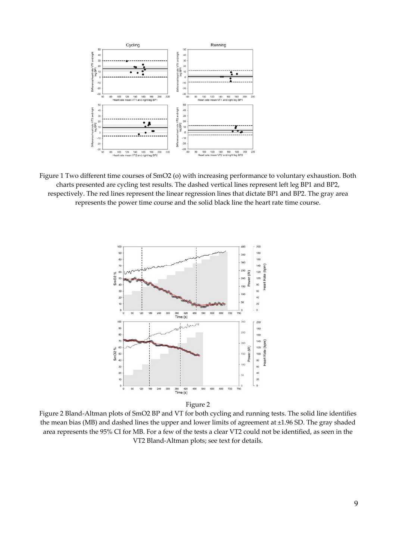

Figure 1 Two different time courses of SmO2 (o) with increasing performance to voluntary exhaustion. Both charts presented are cycling test results. The dashed vertical lines represent left leg BP1 and BP2, respectively. The red lines represent the linear regression lines that dictate BP1 and BP2. The gray area represents the power time course and the solid black line the heart rate time course.



Figure 2

Figure 2 Bland-Altman plots of SmO2 BP and VT for both cycling and running tests. The solid line identifies the mean bias (MB) and dashed lines the upper and lower limits of agreement at ±1.96 SD. The gray shaded area represents the 95% CI for MB. For a few of the tests a clear VT2 could not be identified, as seen in the VT2 Bland-Altman plots; see text for details.